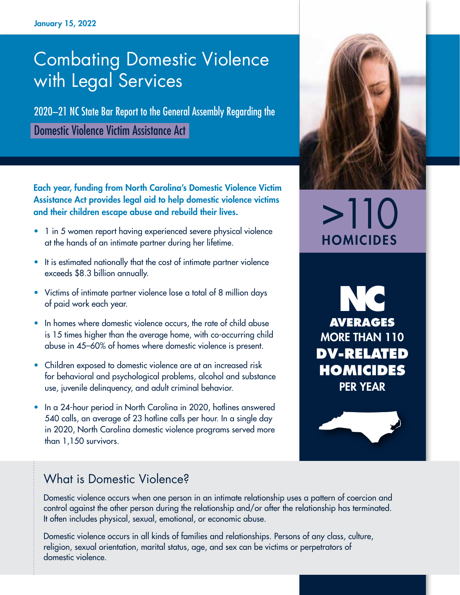# Combating Domestic Violence with Legal Services

2020–21 NC State Bar Report to the General Assembly Regarding the Domestic Violence Victim Assistance Act

Each year, funding from North Carolina's Domestic Violence Victim Assistance Act provides legal aid to help domestic violence victims and their children escape abuse and rebuild their lives.

- 1 in 5 women report having experienced severe physical violence at the hands of an intimate partner during her lifetime.
- It is estimated nationally that the cost of intimate partner violence exceeds \$8.3 billion annually.
- Victims of intimate partner violence lose a total of 8 million days of paid work each year.
- In homes where domestic violence occurs, the rate of child abuse is 15 times higher than the average home, with co-occurring child abuse in 45–60% of homes where domestic violence is present.
- Children exposed to domestic violence are at an increased risk for behavioral and psychological problems, alcohol and substance use, juvenile delinquency, and adult criminal behavior.
- In a 24-hour period in North Carolina in 2020, hotlines answered 540 calls, an average of 23 hotline calls per hour. In a single day in 2020, North Carolina domestic violence programs served more than 1,150 survivors.



# $>110$ **HOMICIDES**

**NC AVERAGES** MORE THAN 110 **DV-RELATED HOMICIDES**  PER YEAR

### What is Domestic Violence?

Domestic violence occurs when one person in an intimate relationship uses a pattern of coercion and control against the other person during the relationship and/or after the relationship has terminated. It often includes physical, sexual, emotional, or economic abuse.

Domestic violence occurs in all kinds of families and relationships. Persons of any class, culture, religion, sexual orientation, marital status, age, and sex can be victims or perpetrators of domestic violence.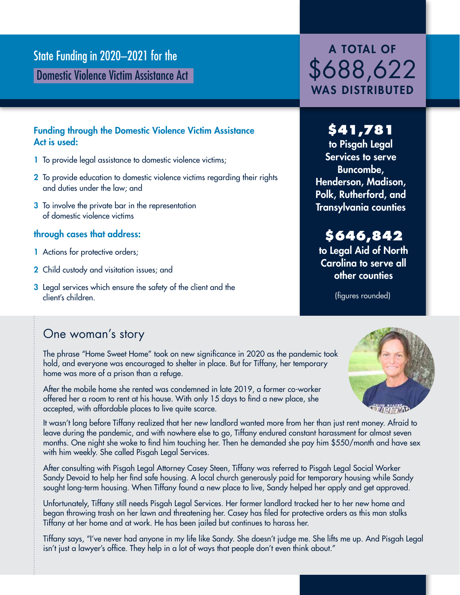# State Funding in 2020–2021 for the A TOTAL OF

Domestic Violence Victim Assistance Act

### Funding through the Domestic Violence Victim Assistance Act is used:

- 1 To provide legal assistance to domestic violence victims;
- 2 To provide education to domestic violence victims regarding their rights and duties under the law; and
- **3** To involve the private bar in the representation of domestic violence victims

### through cases that address:

- 1 Actions for protective orders;
- 2 Child custody and visitation issues; and
- **3** Legal services which ensure the safety of the client and the client's children.

# \$688,622 WAS DISTRIBUTED

## **\$41,781**

to Pisgah Legal Services to serve Buncombe, Henderson, Madison, Polk, Rutherford, and Transylvania counties

## **\$646,842**

to Legal Aid of North Carolina to serve all other counties

(figures rounded)

## One woman's story

The phrase "Home Sweet Home" took on new significance in 2020 as the pandemic took hold, and everyone was encouraged to shelter in place. But for Tiffany, her temporary home was more of a prison than a refuge.

After the mobile home she rented was condemned in late 2019, a former co-worker offered her a room to rent at his house. With only 15 days to find a new place, she accepted, with affordable places to live quite scarce.

*MATHEMAD* 

It wasn't long before Tiffany realized that her new landlord wanted more from her than just rent money. Afraid to leave during the pandemic, and with nowhere else to go, Tiffany endured constant harassment for almost seven months. One night she woke to find him touching her. Then he demanded she pay him \$550/month and have sex with him weekly. She called Pisgah Legal Services.

After consulting with Pisgah Legal Attorney Casey Steen, Tiffany was referred to Pisgah Legal Social Worker Sandy Devoid to help her find safe housing. A local church generously paid for temporary housing while Sandy sought long-term housing. When Tiffany found a new place to live, Sandy helped her apply and get approved.

Unfortunately, Tiffany still needs Pisgah Legal Services. Her former landlord tracked her to her new home and began throwing trash on her lawn and threatening her. Casey has filed for protective orders as this man stalks Tiffany at her home and at work. He has been jailed but continues to harass her.

Tiffany says, "I've never had anyone in my life like Sandy. She doesn't judge me. She lifts me up. And Pisgah Legal isn't just a lawyer's office. They help in a lot of ways that people don't even think about."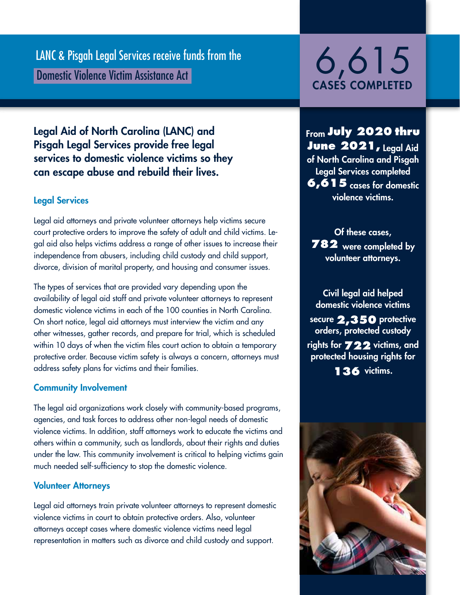LANC & Pisgah Legal Services receive funds from the<br>Domestic Violence Victim Assistance Act 6,615,000 Domestic Violence Victim Assistance Act LANC & Pisgah Legal Services receive funds from the

# CASES COMPLETED

### Legal Aid of North Carolina (LANC) and Pisgah Legal Services provide free legal services to domestic violence victims so they can escape abuse and rebuild their lives.

### Legal Services

Legal aid attorneys and private volunteer attorneys help victims secure court protective orders to improve the safety of adult and child victims. Legal aid also helps victims address a range of other issues to increase their independence from abusers, including child custody and child support, divorce, division of marital property, and housing and consumer issues.

The types of services that are provided vary depending upon the availability of legal aid staff and private volunteer attorneys to represent domestic violence victims in each of the 100 counties in North Carolina. On short notice, legal aid attorneys must interview the victim and any other witnesses, gather records, and prepare for trial, which is scheduled within 10 days of when the victim files court action to obtain a temporary protective order. Because victim safety is always a concern, attorneys must address safety plans for victims and their families.

### Community Involvement

The legal aid organizations work closely with community-based programs, agencies, and task forces to address other non-legal needs of domestic violence victims. In addition, staff attorneys work to educate the victims and others within a community, such as landlords, about their rights and duties under the law. This community involvement is critical to helping victims gain much needed self-sufficiency to stop the domestic violence.

### Volunteer Attorneys

Legal aid attorneys train private volunteer attorneys to represent domestic violence victims in court to obtain protective orders. Also, volunteer attorneys accept cases where domestic violence victims need legal representation in matters such as divorce and child custody and support.

From **July 2020 thru June 2021,** Legal Aid of North Carolina and Pisgah Legal Services completed **6,615** cases for domestic violence victims.

Of these cases, **782** were completed by volunteer attorneys.

Civil legal aid helped domestic violence victims secure **2,350** protective orders, protected custody rights for **722** victims, and protected housing rights for **136** victims.